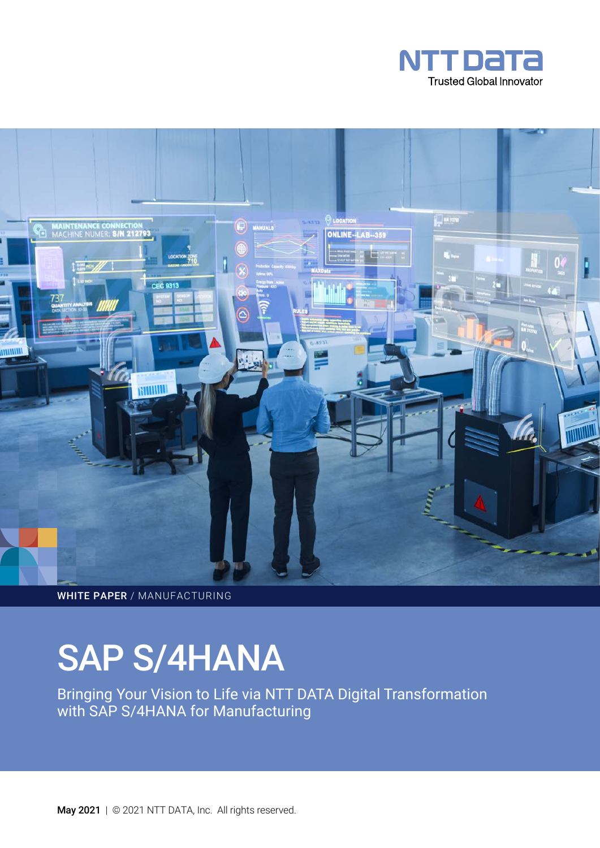



WHITE PAPER / MANUFACTURING

# SAP S/4HANA

Bringing Your Vision to Life via NTT DATA Digital Transformation with SAP S/4HANA for Manufacturing

May 2021 | © 2021 NTT DATA, Inc. All rights reserved.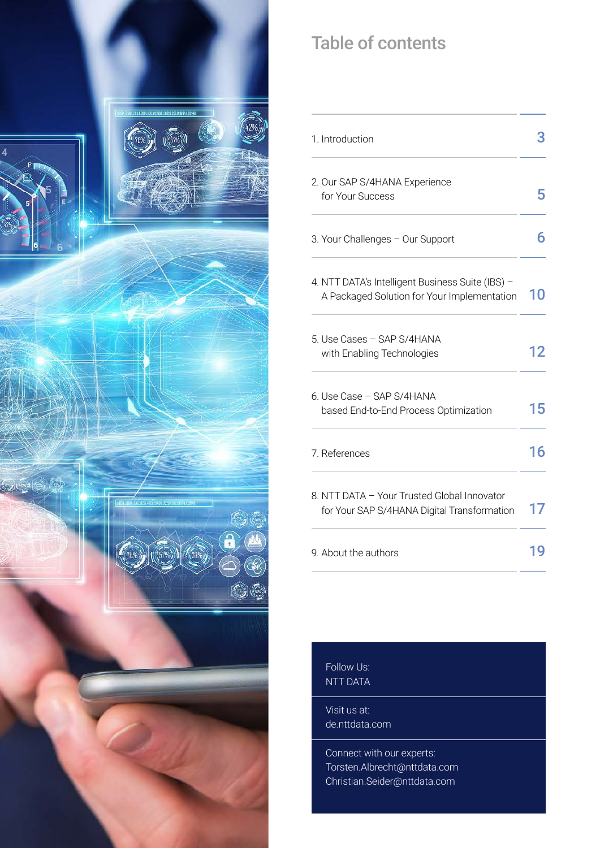

# Table of contents

| 1. Introduction                                                                                 |    |
|-------------------------------------------------------------------------------------------------|----|
| 2. Our SAP S/4HANA Experience<br>for Your Success                                               |    |
| 3. Your Challenges - Our Support                                                                | 6  |
| 4. NTT DATA's Intelligent Business Suite (IBS) -<br>A Packaged Solution for Your Implementation | 10 |
| 5. Use Cases - SAP S/4HANA<br>with Enabling Technologies                                        | 12 |
| 6. Use Case - SAP S/4HANA<br>based End-to-End Process Optimization                              | 15 |
| 7. References                                                                                   | 16 |
| 8. NTT DATA - Your Trusted Global Innovator<br>for Your SAP S/4HANA Digital Transformation      |    |
| 9. About the authors                                                                            |    |

Follow Us: [NTT DATA](https://www.linkedin.com/company/ntt-data-deutschland-gmbh/) 

Visit us at: [de.nttdata.com](https://de.nttdata.com)

Connect with our experts: [Torsten.Albrecht@nttdata.com](mailto:Torsten.Albrecht%40nttdata.com%20?subject=)  [Christian.Seider@nttdata.com](mailto:Christian.Seider%40nttdata.com%20?subject=)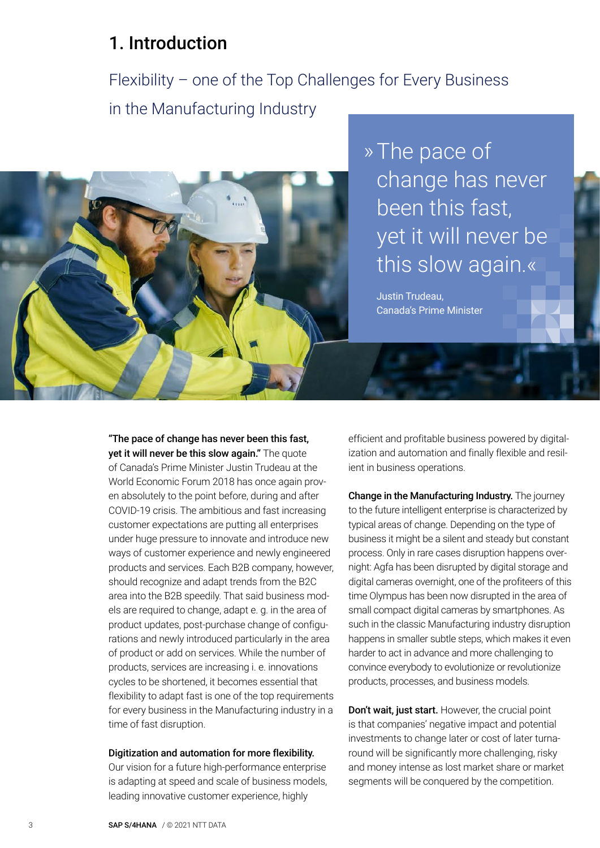## <span id="page-2-0"></span>1. Introduction

Flexibility – one of the Top Challenges for Every Business in the Manufacturing Industry



» The pace of change has never been this fast, yet it will never be this slow again.«

Justin Trudeau, Canada's Prime Minister

"The pace of change has never been this fast, yet it will never be this slow again." The quote of Canada's Prime Minister Justin Trudeau at the World Economic Forum 2018 has once again proven absolutely to the point before, during and after COVID-19 crisis. The ambitious and fast increasing customer expectations are putting all enterprises under huge pressure to innovate and introduce new ways of customer experience and newly engineered products and services. Each B2B company, however, should recognize and adapt trends from the B2C area into the B2B speedily. That said business models are required to change, adapt e. g. in the area of product updates, post-purchase change of configurations and newly introduced particularly in the area of product or add on services. While the number of products, services are increasing i. e. innovations cycles to be shortened, it becomes essential that flexibility to adapt fast is one of the top requirements for every business in the Manufacturing industry in a time of fast disruption.

#### Digitization and automation for more flexibility.

Our vision for a future high-performance enterprise is adapting at speed and scale of business models, leading innovative customer experience, highly

efficient and profitable business powered by digitalization and automation and finally flexible and resilient in business operations.

Change in the Manufacturing Industry. The journey to the future intelligent enterprise is characterized by typical areas of change. Depending on the type of business it might be a silent and steady but constant process. Only in rare cases disruption happens overnight: Agfa has been disrupted by digital storage and digital cameras overnight, one of the profiteers of this time Olympus has been now disrupted in the area of small compact digital cameras by smartphones. As such in the classic Manufacturing industry disruption happens in smaller subtle steps, which makes it even harder to act in advance and more challenging to convince everybody to evolutionize or revolutionize products, processes, and business models.

Don't wait, just start. However, the crucial point is that companies' negative impact and potential investments to change later or cost of later turnaround will be significantly more challenging, risky and money intense as lost market share or market segments will be conquered by the competition.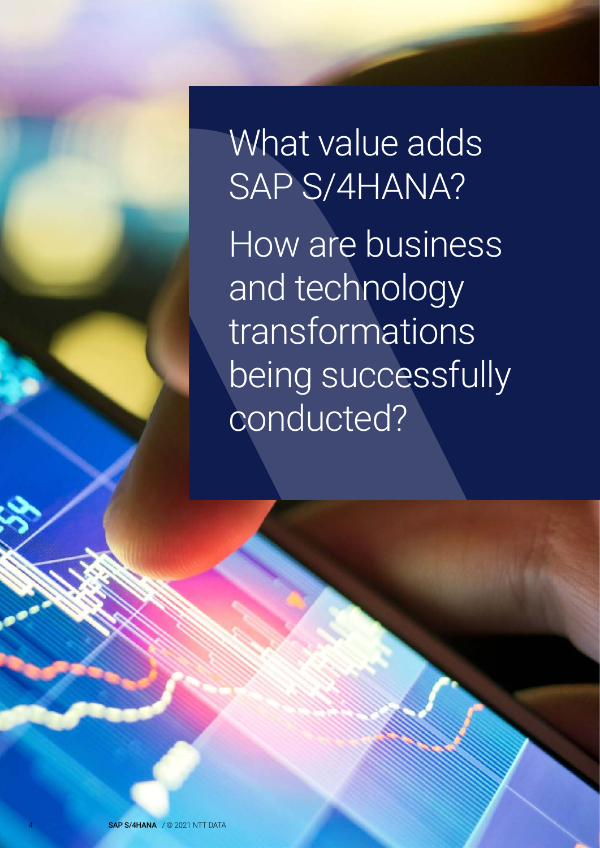What value adds SAP S/4HANA? How are business and technology transformations being successfully conducted?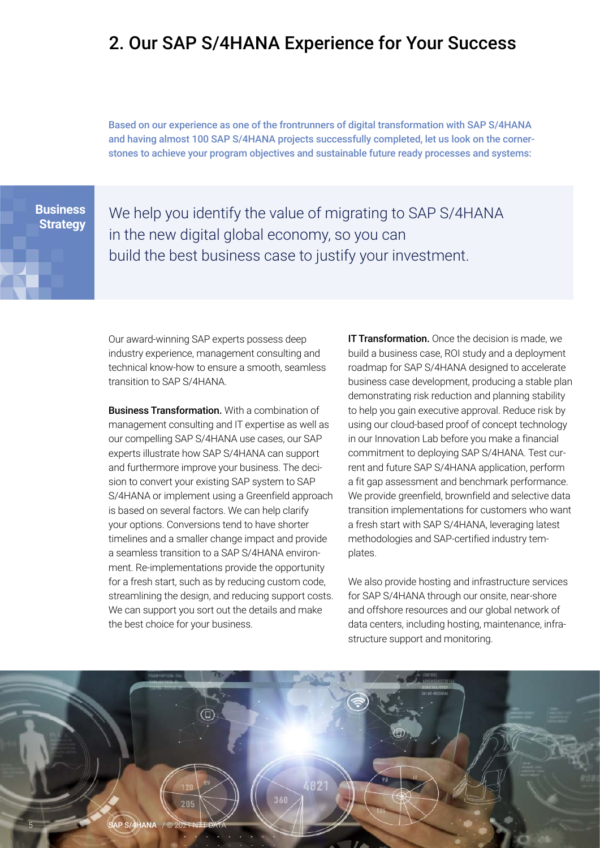## <span id="page-4-0"></span>2. Our SAP S/4HANA Experience for Your Success

Based on our experience as one of the frontrunners of digital transformation with SAP S/4HANA and having almost 100 SAP S/4HANA projects successfully completed, let us look on the cornerstones to achieve your program objectives and sustainable future ready processes and systems:

**Business Strategy**  We help you identify the value of migrating to SAP S/4HANA in the new digital global economy, so you can build the best business case to justify your investment.

Our award-winning SAP experts possess deep industry experience, management consulting and technical know-how to ensure a smooth, seamless transition to SAP S/4HANA.

Business Transformation. With a combination of management consulting and IT expertise as well as our compelling SAP S/4HANA use cases, our SAP experts illustrate how SAP S/4HANA can support and furthermore improve your business. The decision to convert your existing SAP system to SAP S/4HANA or implement using a Greenfield approach is based on several factors. We can help clarify your options. Conversions tend to have shorter timelines and a smaller change impact and provide a seamless transition to a SAP S/4HANA environment. Re-implementations provide the opportunity for a fresh start, such as by reducing custom code, streamlining the design, and reducing support costs. We can support you sort out the details and make the best choice for your business.

**IT Transformation.** Once the decision is made, we build a business case, ROI study and a deployment roadmap for SAP S/4HANA designed to accelerate business case development, producing a stable plan demonstrating risk reduction and planning stability to help you gain executive approval. Reduce risk by using our cloud-based proof of concept technology in our Innovation Lab before you make a financial commitment to deploying SAP S/4HANA. Test current and future SAP S/4HANA application, perform a fit gap assessment and benchmark performance. We provide greenfield, brownfield and selective data transition implementations for customers who want a fresh start with SAP S/4HANA, leveraging latest methodologies and SAP-certified industry templates.

We also provide hosting and infrastructure services for SAP S/4HANA through our onsite, near-shore and offshore resources and our global network of data centers, including hosting, maintenance, infrastructure support and monitoring.

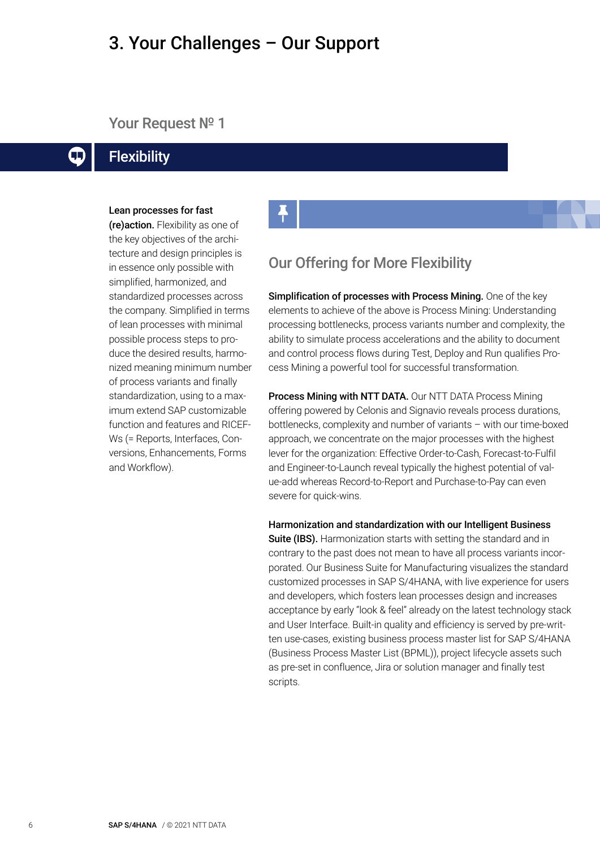### <span id="page-5-0"></span>3. Your Challenges – Our Support

#### Your Request Nº 1

#### **Flexibility**  $\Box$

#### Lean processes for fast

(re)action. Flexibility as one of the key objectives of the architecture and design principles is in essence only possible with simplified, harmonized, and standardized processes across the company. Simplified in terms of lean processes with minimal possible process steps to produce the desired results, harmonized meaning minimum number of process variants and finally standardization, using to a maximum extend SAP customizable function and features and RICEF-Ws (= Reports, Interfaces, Conversions, Enhancements, Forms and Workflow).

#### Our Offering for More Flexibility

Simplification of processes with Process Mining. One of the key elements to achieve of the above is Process Mining: Understanding processing bottlenecks, process variants number and complexity, the ability to simulate process accelerations and the ability to document and control process flows during Test, Deploy and Run qualifies Process Mining a powerful tool for successful transformation.

Process Mining with NTT DATA. Our NTT DATA Process Mining offering powered by Celonis and Signavio reveals process durations, bottlenecks, complexity and number of variants – with our time-boxed approach, we concentrate on the major processes with the highest lever for the organization: Effective Order-to-Cash, Forecast-to-Fulfil and Engineer-to-Launch reveal typically the highest potential of value-add whereas Record-to-Report and Purchase-to-Pay can even severe for quick-wins.

Harmonization and standardization with our Intelligent Business Suite (IBS). Harmonization starts with setting the standard and in contrary to the past does not mean to have all process variants incorporated. Our Business Suite for Manufacturing visualizes the standard customized processes in SAP S/4HANA, with live experience for users and developers, which fosters lean processes design and increases acceptance by early "look & feel" already on the latest technology stack and User Interface. Built-in quality and efficiency is served by pre-written use-cases, existing business process master list for SAP S/4HANA (Business Process Master List (BPML)), project lifecycle assets such as pre-set in confluence, Jira or solution manager and finally test scripts.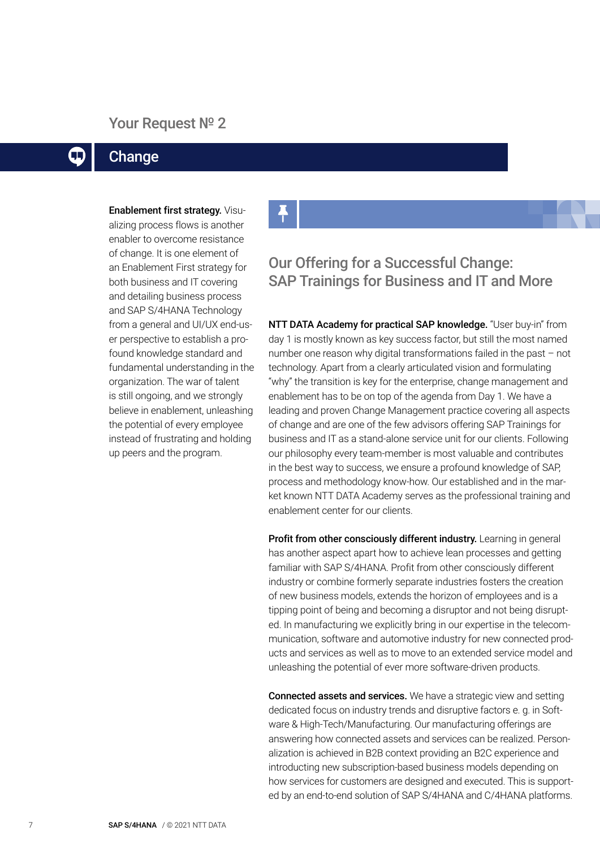#### Your Request Nº 2

#### **Change**  $\mathbf \Pi$

Enablement first strategy. Visualizing process flows is another enabler to overcome resistance of change. It is one element of an Enablement First strategy for both business and IT covering and detailing business process and SAP S/4HANA Technology from a general and UI/UX end-user perspective to establish a profound knowledge standard and fundamental understanding in the organization. The war of talent is still ongoing, and we strongly believe in enablement, unleashing the potential of every employee instead of frustrating and holding up peers and the program.

#### Our Offering for a Successful Change: SAP Trainings for Business and IT and More

NTT DATA Academy for practical SAP knowledge. "User buy-in" from day 1 is mostly known as key success factor, but still the most named number one reason why digital transformations failed in the past – not technology. Apart from a clearly articulated vision and formulating "why" the transition is key for the enterprise, change management and enablement has to be on top of the agenda from Day 1. We have a leading and proven Change Management practice covering all aspects of change and are one of the few advisors offering SAP Trainings for business and IT as a stand-alone service unit for our clients. Following our philosophy every team-member is most valuable and contributes in the best way to success, we ensure a profound knowledge of SAP, process and methodology know-how. Our established and in the market known NTT DATA Academy serves as the professional training and enablement center for our clients.

Profit from other consciously different industry. Learning in general has another aspect apart how to achieve lean processes and getting familiar with SAP S/4HANA. Profit from other consciously different industry or combine formerly separate industries fosters the creation of new business models, extends the horizon of employees and is a tipping point of being and becoming a disruptor and not being disrupted. In manufacturing we explicitly bring in our expertise in the telecommunication, software and automotive industry for new connected products and services as well as to move to an extended service model and unleashing the potential of ever more software-driven products.

Connected assets and services. We have a strategic view and setting dedicated focus on industry trends and disruptive factors e. g. in Software & High-Tech/Manufacturing. Our manufacturing offerings are answering how connected assets and services can be realized. Personalization is achieved in B2B context providing an B2C experience and introducting new subscription-based business models depending on how services for customers are designed and executed. This is supported by an end-to-end solution of SAP S/4HANA and C/4HANA platforms.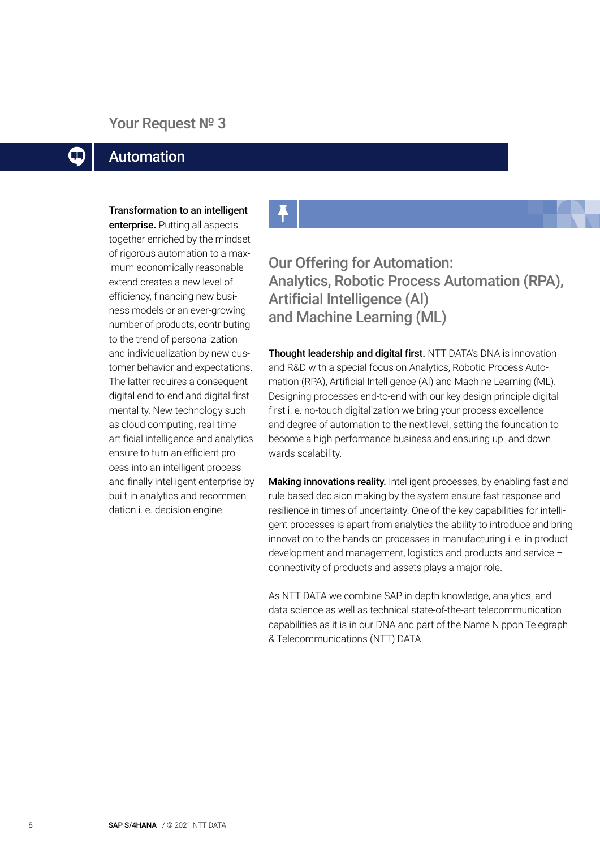#### Your Request Nº 3

#### Automation  $\Box$

Transformation to an intelligent

enterprise. Putting all aspects together enriched by the mindset of rigorous automation to a maximum economically reasonable extend creates a new level of efficiency, financing new business models or an ever-growing number of products, contributing to the trend of personalization and individualization by new customer behavior and expectations. The latter requires a consequent digital end-to-end and digital first mentality. New technology such as cloud computing, real-time artificial intelligence and analytics ensure to turn an efficient process into an intelligent process and finally intelligent enterprise by built-in analytics and recommendation i. e. decision engine.

Our Offering for Automation: Analytics, Robotic Process Automation (RPA), Artificial Intelligence (AI) and Machine Learning (ML)

Thought leadership and digital first. NTT DATA's DNA is innovation and R&D with a special focus on Analytics, Robotic Process Automation (RPA), Artificial Intelligence (AI) and Machine Learning (ML). Designing processes end-to-end with our key design principle digital first i. e. no-touch digitalization we bring your process excellence and degree of automation to the next level, setting the foundation to become a high-performance business and ensuring up- and downwards scalability.

Making innovations reality. Intelligent processes, by enabling fast and rule-based decision making by the system ensure fast response and resilience in times of uncertainty. One of the key capabilities for intelligent processes is apart from analytics the ability to introduce and bring innovation to the hands-on processes in manufacturing i. e. in product development and management, logistics and products and service – connectivity of products and assets plays a major role.

As NTT DATA we combine SAP in-depth knowledge, analytics, and data science as well as technical state-of-the-art telecommunication capabilities as it is in our DNA and part of the Name Nippon Telegraph & Telecommunications (NTT) DATA.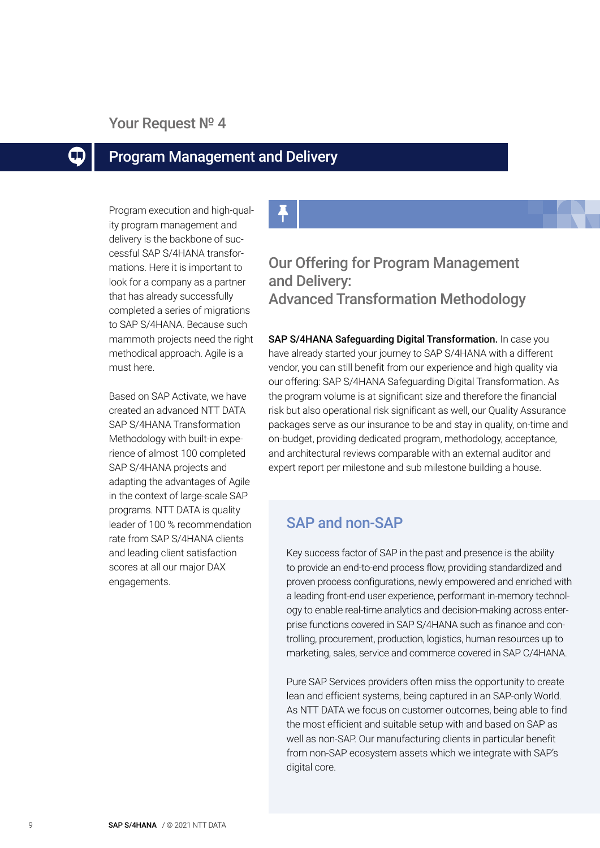#### Your Request Nº 4

#### Program Management and Delivery  $\Box$

Program execution and high-quality program management and delivery is the backbone of successful SAP S/4HANA transformations. Here it is important to look for a company as a partner that has already successfully completed a series of migrations to SAP S/4HANA. Because such mammoth projects need the right methodical approach. Agile is a must here.

Based on SAP Activate, we have created an advanced NTT DATA SAP S/4HANA Transformation Methodology with built-in experience of almost 100 completed SAP S/4HANA projects and adapting the advantages of Agile in the context of large-scale SAP programs. NTT DATA is quality leader of 100 % recommendation rate from SAP S/4HANA clients and leading client satisfaction scores at all our major DAX engagements.

### Our Offering for Program Management and Delivery: Advanced Transformation Methodology

SAP S/4HANA Safeguarding Digital Transformation. In case you have already started your journey to SAP S/4HANA with a different vendor, you can still benefit from our experience and high quality via our offering: SAP S/4HANA Safeguarding Digital Transformation. As the program volume is at significant size and therefore the financial risk but also operational risk significant as well, our Quality Assurance packages serve as our insurance to be and stay in quality, on-time and on-budget, providing dedicated program, methodology, acceptance, and architectural reviews comparable with an external auditor and expert report per milestone and sub milestone building a house.

#### SAP and non-SAP

Key success factor of SAP in the past and presence is the ability to provide an end-to-end process flow, providing standardized and proven process configurations, newly empowered and enriched with a leading front-end user experience, performant in-memory technology to enable real-time analytics and decision-making across enterprise functions covered in SAP S/4HANA such as finance and controlling, procurement, production, logistics, human resources up to marketing, sales, service and commerce covered in SAP C/4HANA.

Pure SAP Services providers often miss the opportunity to create lean and efficient systems, being captured in an SAP-only World. As NTT DATA we focus on customer outcomes, being able to find the most efficient and suitable setup with and based on SAP as well as non-SAP. Our manufacturing clients in particular benefit from non-SAP ecosystem assets which we integrate with SAP's digital core.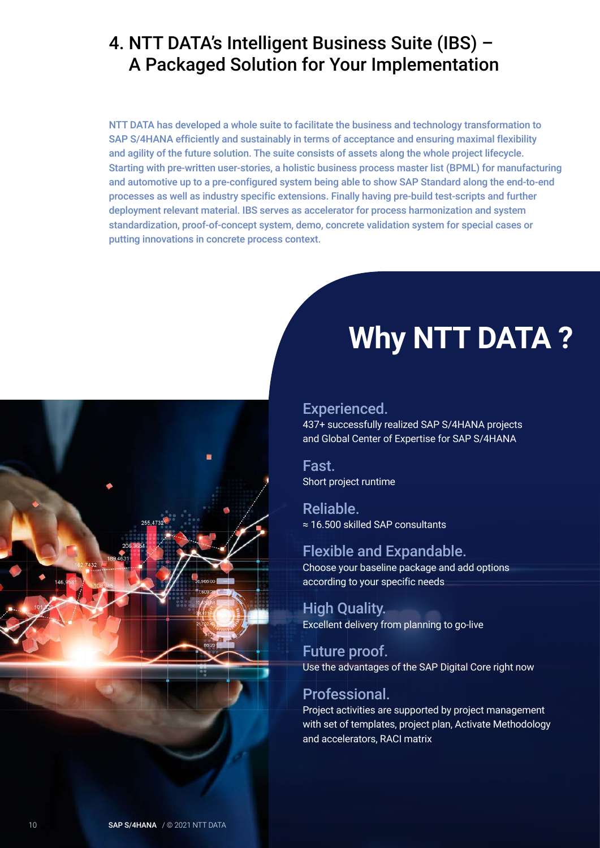# <span id="page-9-0"></span>4. NTT DATA's Intelligent Business Suite (IBS) – A Packaged Solution for Your Implementation

NTT DATA has developed a whole suite to facilitate the business and technology transformation to SAP S/4HANA efficiently and sustainably in terms of acceptance and ensuring maximal flexibility and agility of the future solution. The suite consists of assets along the whole project lifecycle. Starting with pre-written user-stories, a holistic business process master list (BPML) for manufacturing and automotive up to a pre-configured system being able to show SAP Standard along the end-to-end processes as well as industry specific extensions. Finally having pre-build test-scripts and further deployment relevant material. IBS serves as accelerator for process harmonization and system standardization, proof-of-concept system, demo, concrete validation system for special cases or putting innovations in concrete process context.



# **Why NTT DATA ?**

#### Experienced.

437+ successfully realized SAP S/4HANA projects and Global Center of Expertise for SAP S/4HANA

Fast. Short project runtime

Reliable. ≈ 16.500 skilled SAP consultants

#### Flexible and Expandable.

Choose your baseline package and add options according to your specific needs

High Quality. Excellent delivery from planning to go-live

Future proof. Use the advantages of the SAP Digital Core right now

#### Professional.

Project activities are supported by project management with set of templates, project plan, Activate Methodology and accelerators, RACI matrix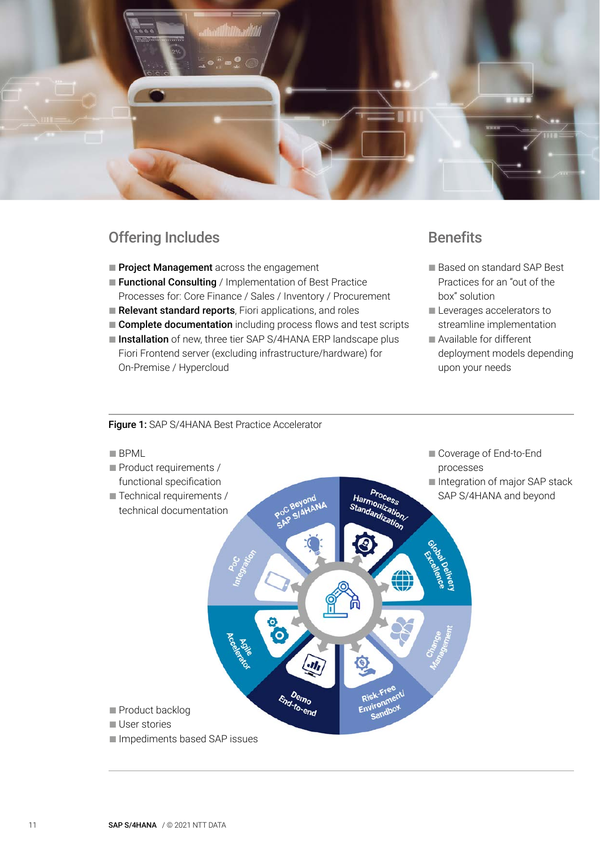

#### Offering Includes

- Project Management across the engagement
- Functional Consulting / Implementation of Best Practice Processes for: Core Finance / Sales / Inventory / Procurement
- Relevant standard reports, Fiori applications, and roles
- **Complete documentation** including process flows and test scripts
- Installation of new, three tier SAP S/4HANA ERP landscape plus Fiori Frontend server (excluding infrastructure/hardware) for On-Premise / Hypercloud

#### **Benefits**

- Based on standard SAP Best Practices for an "out of the box" solution
- Leverages accelerators to streamline implementation
- Available for different deployment models depending upon your needs

#### Figure 1: SAP S/4HANA Best Practice Accelerator

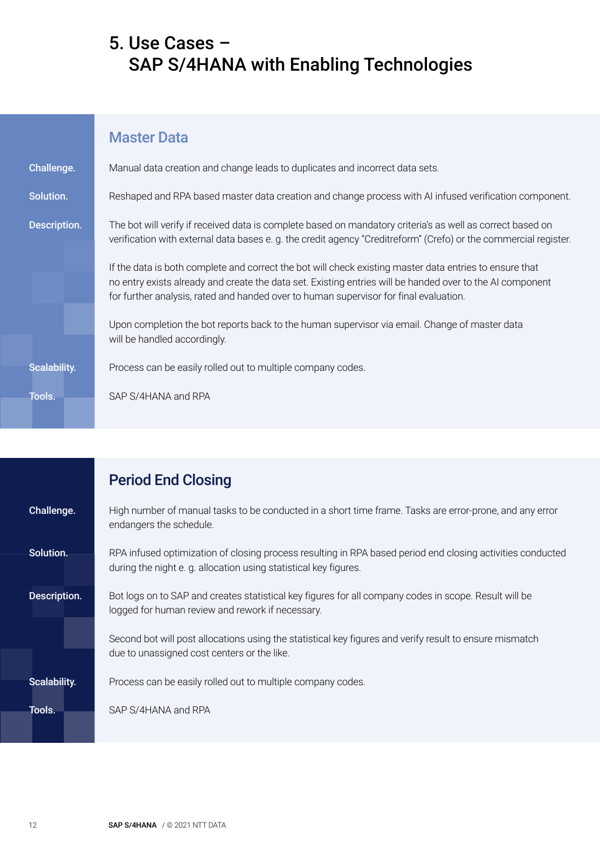# <span id="page-11-0"></span>5. Use Cases – SAP S/4HANA with Enabling Technologies

|                     | <b>Master Data</b>                                                                                                                                                                                                                                                                                            |
|---------------------|---------------------------------------------------------------------------------------------------------------------------------------------------------------------------------------------------------------------------------------------------------------------------------------------------------------|
| Challenge.          | Manual data creation and change leads to duplicates and incorrect data sets.                                                                                                                                                                                                                                  |
| Solution.           | Reshaped and RPA based master data creation and change process with AI infused verification component.                                                                                                                                                                                                        |
| Description.        | The bot will verify if received data is complete based on mandatory criteria's as well as correct based on<br>verification with external data bases e.g. the credit agency "Creditreform" (Crefo) or the commercial register.                                                                                 |
|                     | If the data is both complete and correct the bot will check existing master data entries to ensure that<br>no entry exists already and create the data set. Existing entries will be handed over to the AI component<br>for further analysis, rated and handed over to human supervisor for final evaluation. |
|                     | Upon completion the bot reports back to the human supervisor via email. Change of master data<br>will be handled accordingly.                                                                                                                                                                                 |
| <b>Scalability.</b> | Process can be easily rolled out to multiple company codes.                                                                                                                                                                                                                                                   |
| Tools.              | SAP S/4HANA and RPA                                                                                                                                                                                                                                                                                           |

## Period End Closing

| Challenge.          | High number of manual tasks to be conducted in a short time frame. Tasks are error-prone, and any error<br>endangers the schedule.                                            |
|---------------------|-------------------------------------------------------------------------------------------------------------------------------------------------------------------------------|
| Solution.           | RPA infused optimization of closing process resulting in RPA based period end closing activities conducted<br>during the night e.g. allocation using statistical key figures. |
| Description.        | Bot logs on to SAP and creates statistical key figures for all company codes in scope. Result will be<br>logged for human review and rework if necessary.                     |
|                     | Second bot will post allocations using the statistical key figures and verify result to ensure mismatch<br>due to unassigned cost centers or the like.                        |
| <b>Scalability.</b> | Process can be easily rolled out to multiple company codes.                                                                                                                   |
| Tools.              | SAP S/4HANA and RPA                                                                                                                                                           |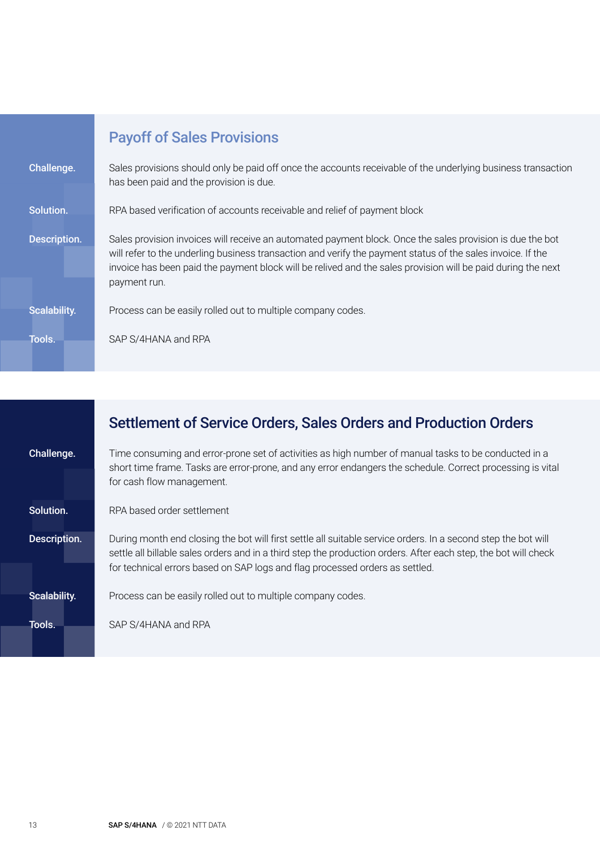|              | <b>Payoff of Sales Provisions</b>                                                                                                                                                                                                                                                                                                                        |
|--------------|----------------------------------------------------------------------------------------------------------------------------------------------------------------------------------------------------------------------------------------------------------------------------------------------------------------------------------------------------------|
| Challenge.   | Sales provisions should only be paid off once the accounts receivable of the underlying business transaction<br>has been paid and the provision is due.                                                                                                                                                                                                  |
| Solution.    | RPA based verification of accounts receivable and relief of payment block                                                                                                                                                                                                                                                                                |
| Description. | Sales provision invoices will receive an automated payment block. Once the sales provision is due the bot<br>will refer to the underling business transaction and verify the payment status of the sales invoice. If the<br>invoice has been paid the payment block will be relived and the sales provision will be paid during the next<br>payment run. |

| <b>Scalability.</b><br>Process can be easily rolled out to multiple company codes. |  |
|------------------------------------------------------------------------------------|--|
|------------------------------------------------------------------------------------|--|

Tools. SAP S/4HANA and RPA

|                     | Settlement of Service Orders, Sales Orders and Production Orders                                                                                                                                                                                                                                                 |  |  |
|---------------------|------------------------------------------------------------------------------------------------------------------------------------------------------------------------------------------------------------------------------------------------------------------------------------------------------------------|--|--|
| Challenge.          | Time consuming and error-prone set of activities as high number of manual tasks to be conducted in a<br>short time frame. Tasks are error-prone, and any error endangers the schedule. Correct processing is vital<br>for cash flow management.                                                                  |  |  |
| Solution.           | RPA based order settlement                                                                                                                                                                                                                                                                                       |  |  |
| Description.        | During month end closing the bot will first settle all suitable service orders. In a second step the bot will<br>settle all billable sales orders and in a third step the production orders. After each step, the bot will check<br>for technical errors based on SAP logs and flag processed orders as settled. |  |  |
| <b>Scalability.</b> | Process can be easily rolled out to multiple company codes.                                                                                                                                                                                                                                                      |  |  |
| Tools.              | SAP S/4HANA and RPA                                                                                                                                                                                                                                                                                              |  |  |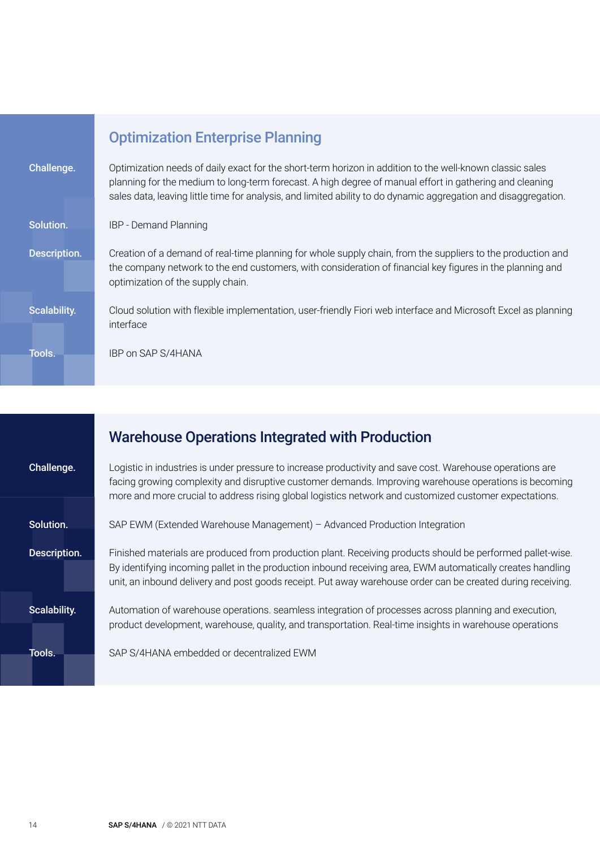|                     | <b>Optimization Enterprise Planning</b>                                                                                                                                                                                                                                                                                                |
|---------------------|----------------------------------------------------------------------------------------------------------------------------------------------------------------------------------------------------------------------------------------------------------------------------------------------------------------------------------------|
| Challenge.          | Optimization needs of daily exact for the short-term horizon in addition to the well-known classic sales<br>planning for the medium to long-term forecast. A high degree of manual effort in gathering and cleaning<br>sales data, leaving little time for analysis, and limited ability to do dynamic aggregation and disaggregation. |
| Solution.           | <b>IBP</b> - Demand Planning                                                                                                                                                                                                                                                                                                           |
| Description.        | Creation of a demand of real-time planning for whole supply chain, from the suppliers to the production and<br>the company network to the end customers, with consideration of financial key figures in the planning and<br>optimization of the supply chain.                                                                          |
| <b>Scalability.</b> | Cloud solution with flexible implementation, user-friendly Fiori web interface and Microsoft Excel as planning<br>interface                                                                                                                                                                                                            |
| Tools.              | IBP on SAP S/4HANA                                                                                                                                                                                                                                                                                                                     |

|              | <b>Warehouse Operations Integrated with Production</b>                                                                                                                                                                                                                                                                                   |  |
|--------------|------------------------------------------------------------------------------------------------------------------------------------------------------------------------------------------------------------------------------------------------------------------------------------------------------------------------------------------|--|
| Challenge.   | Logistic in industries is under pressure to increase productivity and save cost. Warehouse operations are<br>facing growing complexity and disruptive customer demands. Improving warehouse operations is becoming<br>more and more crucial to address rising global logistics network and customized customer expectations.             |  |
| Solution.    | SAP EWM (Extended Warehouse Management) - Advanced Production Integration                                                                                                                                                                                                                                                                |  |
| Description. | Finished materials are produced from production plant. Receiving products should be performed pallet-wise.<br>By identifying incoming pallet in the production inbound receiving area, EWM automatically creates handling<br>unit, an inbound delivery and post goods receipt. Put away warehouse order can be created during receiving. |  |
| Scalability. | Automation of warehouse operations. seamless integration of processes across planning and execution,<br>product development, warehouse, quality, and transportation. Real-time insights in warehouse operations                                                                                                                          |  |
| Tools.       | SAP S/4HANA embedded or decentralized EWM                                                                                                                                                                                                                                                                                                |  |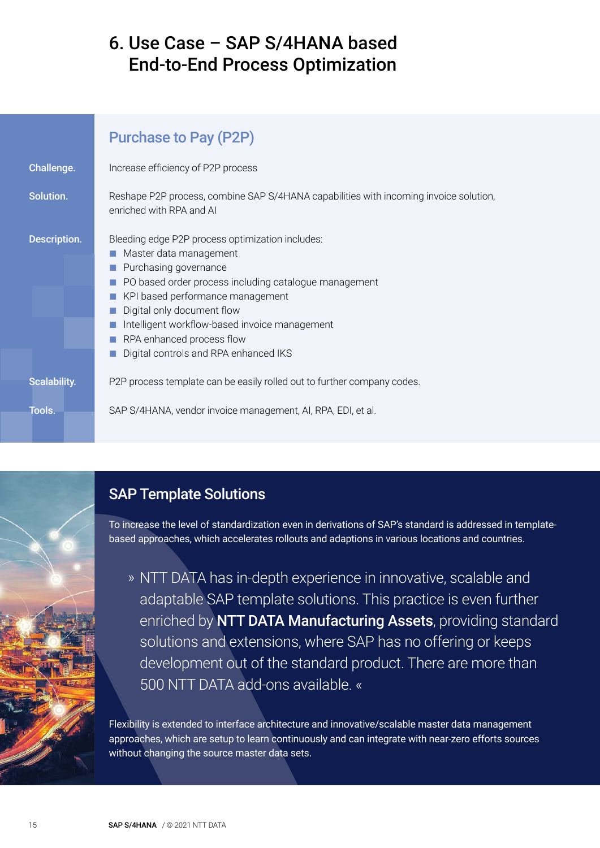# <span id="page-14-0"></span>6. Use Case – SAP S/4HANA based End-to-End Process Optimization

|                     | <b>Purchase to Pay (P2P)</b>                                                                                                                                                                                                                                                                                                                                        |
|---------------------|---------------------------------------------------------------------------------------------------------------------------------------------------------------------------------------------------------------------------------------------------------------------------------------------------------------------------------------------------------------------|
| Challenge.          | Increase efficiency of P2P process                                                                                                                                                                                                                                                                                                                                  |
| Solution.           | Reshape P2P process, combine SAP S/4HANA capabilities with incoming invoice solution,<br>enriched with RPA and AI                                                                                                                                                                                                                                                   |
| <b>Description.</b> | Bleeding edge P2P process optimization includes:<br>Master data management<br>Purchasing governance<br>PO based order process including catalogue management<br>KPI based performance management<br>Digital only document flow<br>Intelligent workflow-based invoice management<br><b>COL</b><br>RPA enhanced process flow<br>Digital controls and RPA enhanced IKS |
| <b>Scalability.</b> | P2P process template can be easily rolled out to further company codes.                                                                                                                                                                                                                                                                                             |
| Tools.              | SAP S/4HANA, vendor invoice management, AI, RPA, EDI, et al.                                                                                                                                                                                                                                                                                                        |

### SAP Template Solutions

To increase the level of standardization even in derivations of SAP's standard is addressed in templatebased approaches, which accelerates rollouts and adaptions in various locations and countries.

» NTT DATA has in-depth experience in innovative, scalable and adaptable SAP template solutions. This practice is even further enriched by NTT DATA Manufacturing Assets, providing standard solutions and extensions, where SAP has no offering or keeps development out of the standard product. There are more than 500 NTT DATA add-ons available. «

Flexibility is extended to interface architecture and innovative/scalable master data management approaches, which are setup to learn continuously and can integrate with near-zero efforts sources without changing the source master data sets.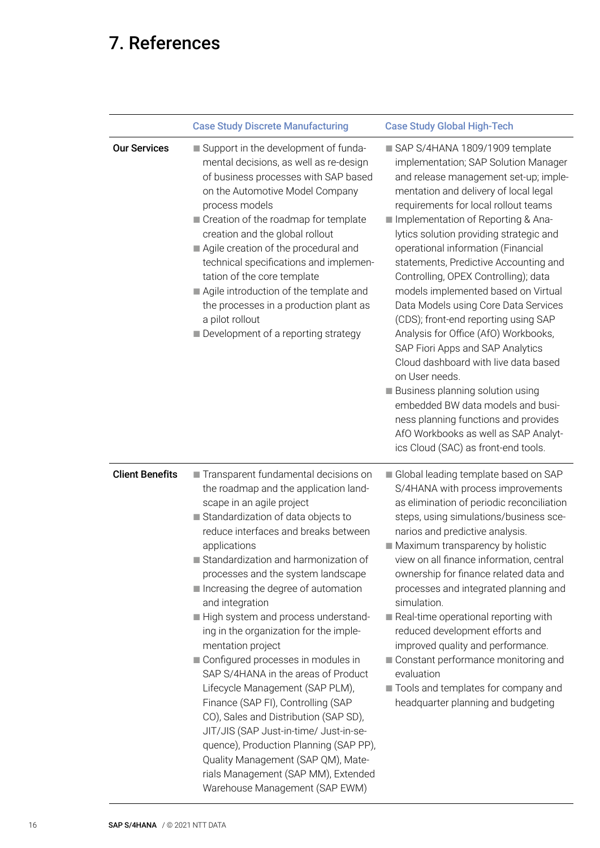# <span id="page-15-0"></span>7. References

|                        | <b>Case Study Discrete Manufacturing</b>                                                                                                                                                                                                                                                                                                                                                                                                                                                                                                                                                                                                                                                                                                                                                                                                                 | <b>Case Study Global High-Tech</b>                                                                                                                                                                                                                                                                                                                                                                                                                                                                                                                                                                                                                                                                                                                                                                                                                                           |
|------------------------|----------------------------------------------------------------------------------------------------------------------------------------------------------------------------------------------------------------------------------------------------------------------------------------------------------------------------------------------------------------------------------------------------------------------------------------------------------------------------------------------------------------------------------------------------------------------------------------------------------------------------------------------------------------------------------------------------------------------------------------------------------------------------------------------------------------------------------------------------------|------------------------------------------------------------------------------------------------------------------------------------------------------------------------------------------------------------------------------------------------------------------------------------------------------------------------------------------------------------------------------------------------------------------------------------------------------------------------------------------------------------------------------------------------------------------------------------------------------------------------------------------------------------------------------------------------------------------------------------------------------------------------------------------------------------------------------------------------------------------------------|
| <b>Our Services</b>    | Support in the development of funda-<br>mental decisions, as well as re-design<br>of business processes with SAP based<br>on the Automotive Model Company<br>process models<br>Creation of the roadmap for template<br>creation and the global rollout<br>Agile creation of the procedural and<br>technical specifications and implemen-<br>tation of the core template<br>Agile introduction of the template and<br>the processes in a production plant as<br>a pilot rollout<br>Development of a reporting strategy                                                                                                                                                                                                                                                                                                                                    | SAP S/4HANA 1809/1909 template<br>implementation; SAP Solution Manager<br>and release management set-up; imple-<br>mentation and delivery of local legal<br>requirements for local rollout teams<br>Implementation of Reporting & Ana-<br>lytics solution providing strategic and<br>operational information (Financial<br>statements, Predictive Accounting and<br>Controlling, OPEX Controlling); data<br>models implemented based on Virtual<br>Data Models using Core Data Services<br>(CDS); front-end reporting using SAP<br>Analysis for Office (AfO) Workbooks,<br>SAP Fiori Apps and SAP Analytics<br>Cloud dashboard with live data based<br>on User needs.<br><b>Business planning solution using</b><br>embedded BW data models and busi-<br>ness planning functions and provides<br>AfO Workbooks as well as SAP Analyt-<br>ics Cloud (SAC) as front-end tools. |
| <b>Client Benefits</b> | Transparent fundamental decisions on<br>the roadmap and the application land-<br>scape in an agile project<br>Standardization of data objects to<br>reduce interfaces and breaks between<br>applications<br>Standardization and harmonization of<br>processes and the system landscape<br>Increasing the degree of automation<br>and integration<br>High system and process understand-<br>ing in the organization for the imple-<br>mentation project<br>Configured processes in modules in<br>SAP S/4HANA in the areas of Product<br>Lifecycle Management (SAP PLM),<br>Finance (SAP FI), Controlling (SAP<br>CO), Sales and Distribution (SAP SD),<br>JIT/JIS (SAP Just-in-time/ Just-in-se-<br>quence), Production Planning (SAP PP),<br>Quality Management (SAP QM), Mate-<br>rials Management (SAP MM), Extended<br>Warehouse Management (SAP EWM) | Global leading template based on SAP<br>S/4HANA with process improvements<br>as elimination of periodic reconciliation<br>steps, using simulations/business sce-<br>narios and predictive analysis.<br>Maximum transparency by holistic<br>view on all finance information, central<br>ownership for finance related data and<br>processes and integrated planning and<br>simulation.<br>Real-time operational reporting with<br>reduced development efforts and<br>improved quality and performance.<br>Constant performance monitoring and<br>evaluation<br>Tools and templates for company and<br>headquarter planning and budgeting                                                                                                                                                                                                                                      |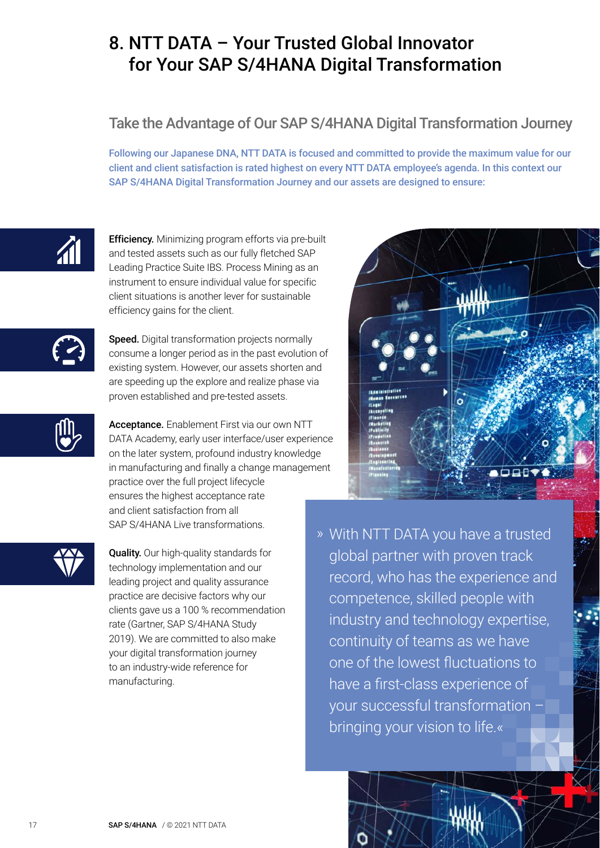# <span id="page-16-0"></span>8. NTT DATA – Your Trusted Global Innovator for Your SAP S/4HANA Digital Transformation

### Take the Advantage of Our SAP S/4HANA Digital Transformation Journey

Following our Japanese DNA, NTT DATA is focused and committed to provide the maximum value for our client and client satisfaction is rated highest on every NTT DATA employee's agenda. In this context our SAP S/4HANA Digital Transformation Journey and our assets are designed to ensure:



Efficiency. Minimizing program efforts via pre-built and tested assets such as our fully fletched SAP Leading Practice Suite IBS. Process Mining as an instrument to ensure individual value for specific client situations is another lever for sustainable efficiency gains for the client.



Speed. Digital transformation projects normally consume a longer period as in the past evolution of existing system. However, our assets shorten and are speeding up the explore and realize phase via proven established and pre-tested assets.



Acceptance. Enablement First via our own NTT DATA Academy, early user interface/user experience on the later system, profound industry knowledge in manufacturing and finally a change management practice over the full project lifecycle ensures the highest acceptance rate and client satisfaction from all SAP S/4HANA Live transformations.



Quality. Our high-quality standards for technology implementation and our leading project and quality assurance practice are decisive factors why our clients gave us a 100 % recommendation rate (Gartner, SAP S/4HANA Study 2019). We are committed to also make your digital transformation journey to an industry-wide reference for manufacturing.



» With NTT DATA you have a trusted global partner with proven track record, who has the experience and competence, skilled people with industry and technology expertise, continuity of teams as we have one of the lowest fluctuations to have a first-class experience of your successful transformation – bringing your vision to life.«

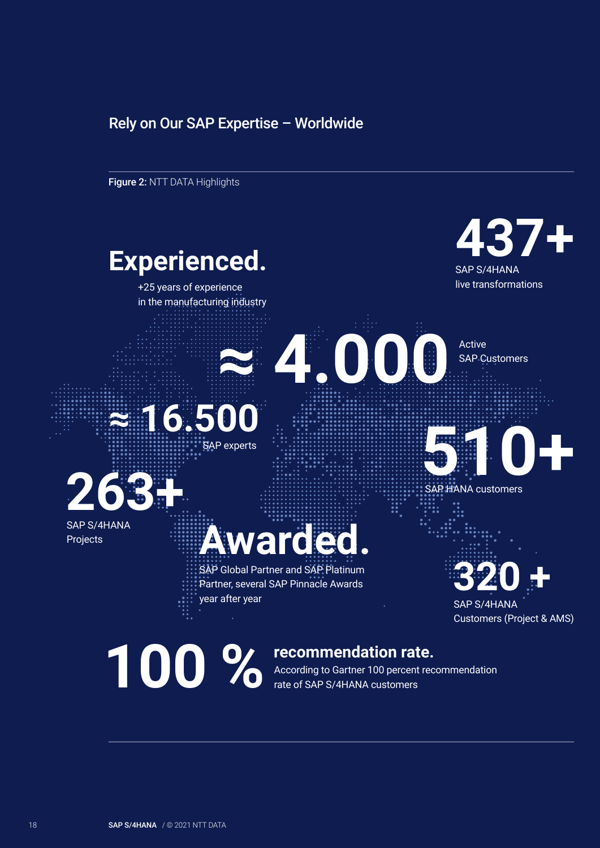#### Rely on Our SAP Expertise – Worldwide

Figure 2: NTT DATA Highlights

# **Experienced.**

+25 years of experience in the manufacturing industry



live transformations

SAP Customers





Projects

# **Moien**

SAP Global Partner and SAP Platinum Partner, several SAP Pinnacle Awards year after year

# **320 +** SAP S/4HANA

**510+** 

SAP HANA customers

Customers (Project & AMS)

# **100 %**

#### **recommendation rate.**

According to Gartner 100 percent recommendation rate of SAP S/4HANA customers

**≈ 4.000** Active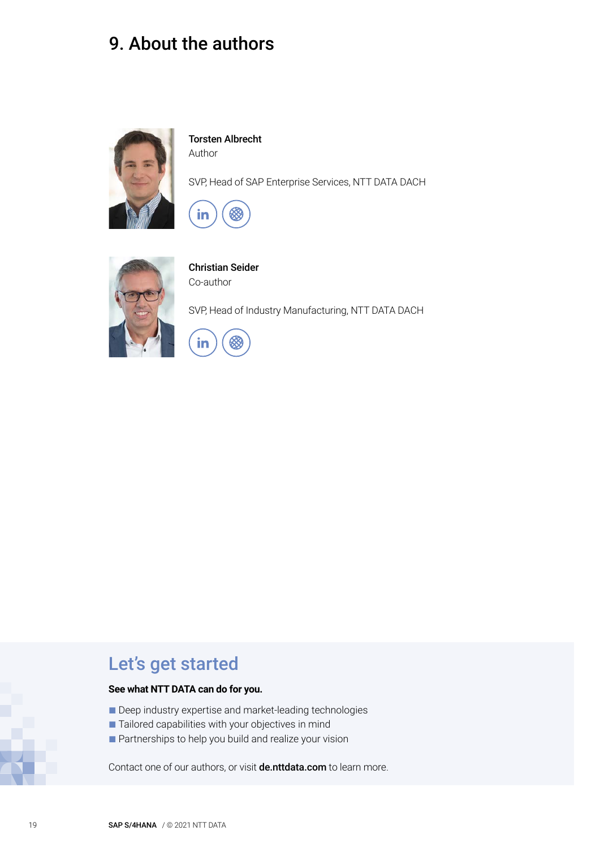# <span id="page-18-0"></span>9. About the authors



Torsten Albrecht Author

SVP, Head of SAP Enterprise Services, NTT DATA DACH





Christian Seider Co-author

SVP, Head of Industry Manufacturing, NTT DATA DACH



## Let's get started

#### **See what NTT DATA can do for you.**

- Deep industry expertise and market-leading technologies
- Tailored capabilities with your objectives in mind
- Partnerships to help you build and realize your vision

Contact one of our authors, or visit **de.[nttdata.com](http://www.nttdata.com)** to learn more.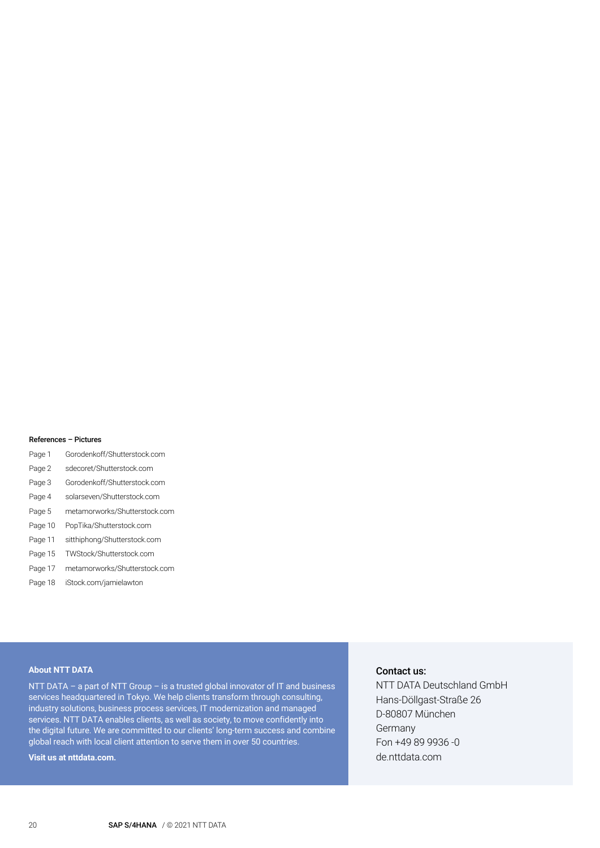#### References – Pictures

- Page 1 Gorodenkoff/Shutterstock.com
- Page 2 sdecoret/Shutterstock.com
- Page 3 Gorodenkoff/Shutterstock.com
- Page 4 solarseven/Shutterstock.com
- Page 5 metamorworks/Shutterstock.com
- Page 10 PopTika/Shutterstock.com
- Page 11 sitthiphong/Shutterstock.com
- Page 15 TWStock/Shutterstock.com
- Page 17 metamorworks/Shutterstock.com
- Page 18 iStock.com/jamielawton

#### **About NTT DATA**

NTT DATA – a part of NTT Group – is a trusted global innovator of IT and business services headquartered in Tokyo. We help clients transform through consulting, industry solutions, business process services, IT modernization and managed services. NTT DATA enables clients, as well as society, to move confidently into the digital future. We are committed to our clients' long-term success and combine global reach with local client attention to serve them in over 50 countries.

#### **Visit us at nttdata.com.**

#### Contact us:

NTT DATA Deutschland GmbH Hans-Döllgast-Straße 26 D-80807 München **Germany** Fon +49 89 9936 -0 de.[nttdata.com](http://www.nttdata.com/de)